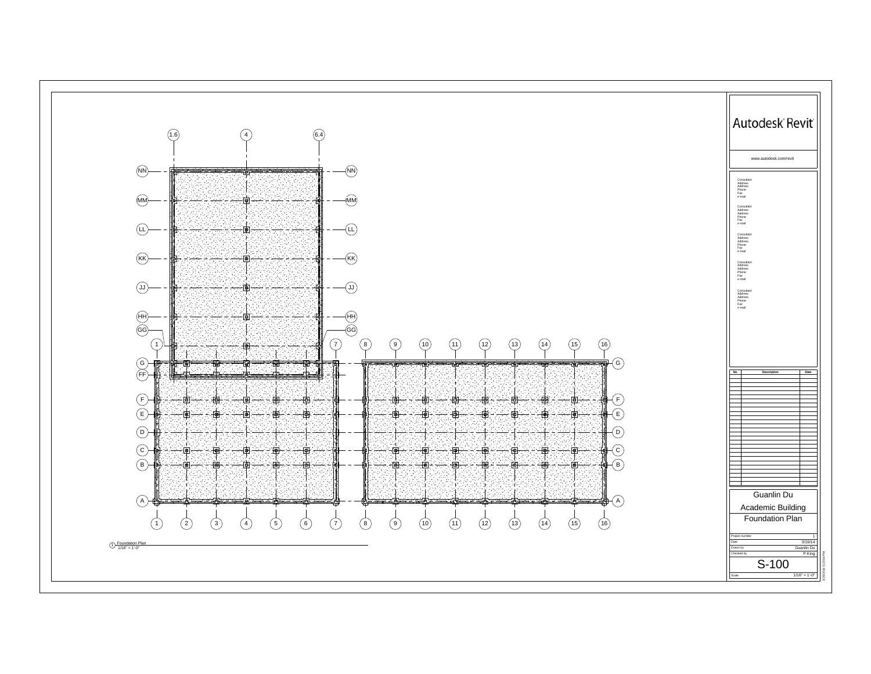